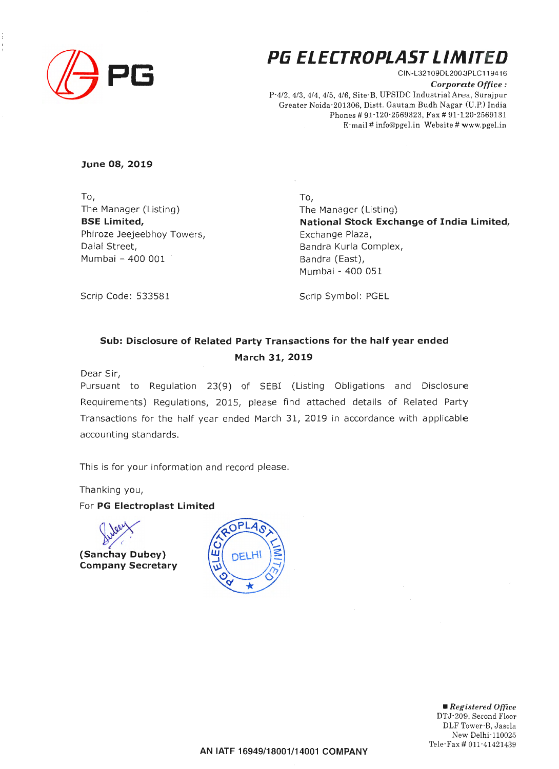

# **P6 ELECTROPLAST LIMITED**

CIN-L32109DL2003PLC11941 6 *Corporate Office :*  P-4/2, 4/3, 4/4, 4/5, 4/6, Site-B, UPSIDC Industrial Area, Surajpur Greater Noida-201306, Distt. Gautam Budh Nagar (U.P.) India Phones # 91-120-2569323, Fax # 91-120-2569131 E-mail# info@pgel.in Website# www.pgel.in

**June 08, 2019** 

To, The Manager (Listing) **BSE Limited,**  Phiroze Jeejeebhoy Towers, Dalal Street, Mumbai - 400 001

To, The Manager (Listing) **National Stock Exchange of India Limited,**  Exchange Plaza, Bandra Kurla Complex, Bandra (East), Mumbai - 400 051

Scrip Code: 533581

Scrip Symbol: PGEL

## **Sub: Disclosure of Related Party Transactions for the half year ended March 31, 2019**

Dear Sir,

Pursuant to Regulation 23(9) of SEBI (Listing Obligations and Disclosure Requirements) Regulations, 2015, please find attached details of Related Party Transactions for the half year ended March 31, 2019 in accordance with applicable accounting standards.

This is for your information and record please.

Thanking you,

For **PG Electroplast Limited** 

**(Sanchay Dubey)** 

**Company Secretary** 



• *Registered Office*  DTJ-209, Second Floor DLF Tower-B, Jasola New Delhi-110025 Tele-Fax # 011-41421439

**AN IATF 16949/18001/14001 COMPANY**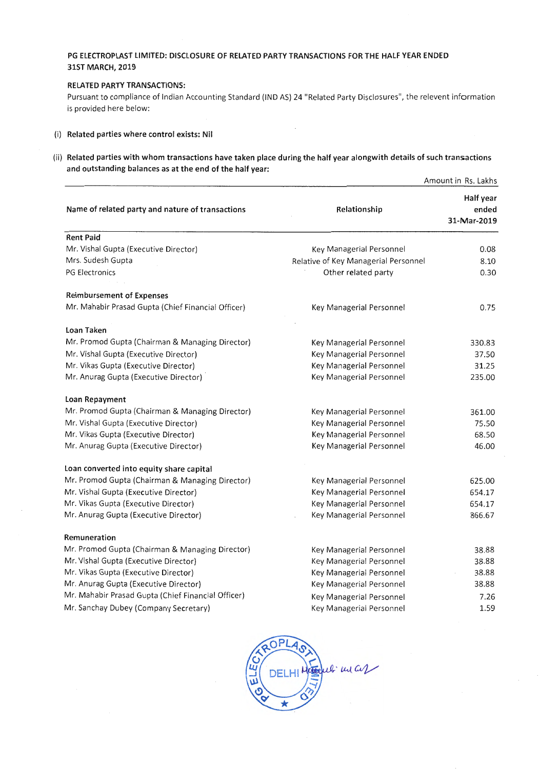## **PG ELECTROPLAST LIMITED: DISCLOSURE OF RELATED PARTY TRANSACTIONS FOR THE HALF YEAR ENDED 31ST MARCH, 2019**

### **RELATED PARTY TRANSACTIONS:**

Pursuant to compliance of Indian Accounting Standard (IND AS) 24 "Related Party Disclosures", the relevent information is provided here below:

 $\overline{\phantom{a}}$ 

#### (i) **Related parties where control exists: Nil**

(ii) Related parties with whom transactions have taken place during the half year alongwith details of such transactions **and outstanding balances as at the end of the half year:** 

|                                                    | Amount in Rs. Lakhs                  |                                   |
|----------------------------------------------------|--------------------------------------|-----------------------------------|
| Name of related party and nature of transactions   | Relationship                         | Half year<br>ended<br>31-Mar-2019 |
| <b>Rent Paid</b>                                   |                                      |                                   |
| Mr. Vishal Gupta (Executive Director)              | Key Managerial Personnel             | 0.08                              |
| Mrs. Sudesh Gupta                                  | Relative of Key Managerial Personnel | 8.10                              |
| <b>PG Electronics</b>                              | Other related party                  | 0.30                              |
| <b>Reimbursement of Expenses</b>                   |                                      |                                   |
| Mr. Mahabir Prasad Gupta (Chief Financial Officer) | Key Managerial Personnel             | 0.75                              |
| Loan Taken                                         |                                      |                                   |
| Mr. Promod Gupta (Chairman & Managing Director)    | Key Managerial Personnel             | 330.83                            |
| Mr. Vishal Gupta (Executive Director)              | Key Managerial Personnel             | 37.50                             |
| Mr. Vikas Gupta (Executive Director)               | Key Managerial Personnel             | 31.25                             |
| Mr. Anurag Gupta (Executive Director)              | Key Managerial Personnel             | 235.00                            |
| Loan Repayment                                     |                                      |                                   |
| Mr. Promod Gupta (Chairman & Managing Director)    | Key Managerial Personnel             | 361.00                            |
| Mr. Vishal Gupta (Executive Director)              | Key Managerial Personnel             | 75.50                             |
| Mr. Vikas Gupta (Executive Director)               | Key Managerial Personnel             | 68.50                             |
| Mr. Anurag Gupta (Executive Director)              | Key Managerial Personnel             | 46.00                             |
| Loan converted into equity share capital           |                                      |                                   |
| Mr. Promod Gupta (Chairman & Managing Director)    | Key Managerial Personnel             | 625.00                            |
| Mr. Vishal Gupta (Executive Director)              | Key Managerial Personnel             | 654.17                            |
| Mr. Vikas Gupta (Executive Director)               | Key Managerial Personnel             | 654.17                            |
| Mr. Anurag Gupta (Executive Director)              | Key Managerial Personnel             | 866.67                            |
| Remuneration                                       |                                      |                                   |
| Mr. Promod Gupta (Chairman & Managing Director)    | Key Managerial Personnel             | 38.88                             |
| Mr. Vishal Gupta (Executive Director)              | Key Managerial Personnel             | 38.88                             |
| Mr. Vikas Gupta (Executive Director)               | Key Managerial Personnel             | 38.88                             |
| Mr. Anurag Gupta (Executive Director)              | Key Managerial Personnel             | 38.88                             |
| Mr. Mahabir Prasad Gupta (Chief Financial Officer) | Key Managerial Personnel             | 7.26                              |
| Mr. Sanchay Dubey (Company Secretary)              | Key Managerial Personnel             | 1.59                              |

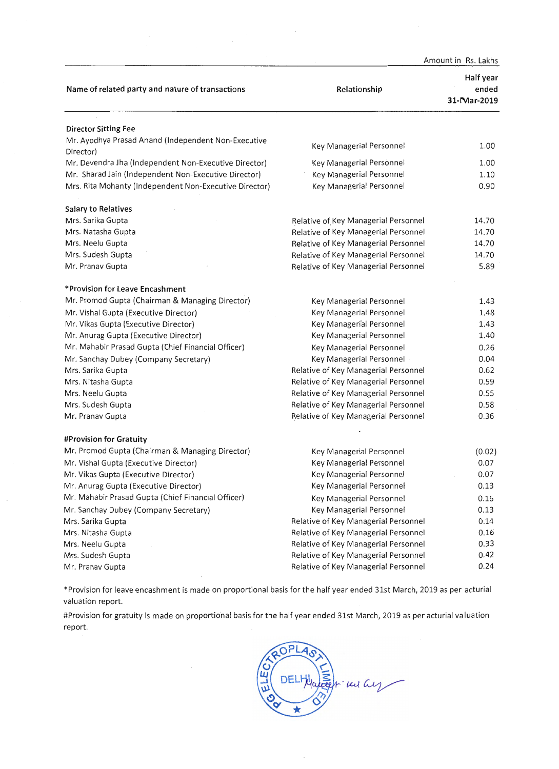|                                                                  | Amount in Rs. Lakhs                  |                                   |
|------------------------------------------------------------------|--------------------------------------|-----------------------------------|
| Name of related party and nature of transactions                 | Relationship                         | Half year<br>ended<br>31-Mar-2019 |
| <b>Director Sitting Fee</b>                                      |                                      |                                   |
| Mr. Ayodhya Prasad Anand (Independent Non-Executive<br>Director) | Key Managerial Personnel             | 1.00                              |
| Mr. Devendra Jha (Independent Non-Executive Director)            | Key Managerial Personnel             | 1.00                              |
| Mr. Sharad Jain (Independent Non-Executive Director)             | Key Managerial Personnel             | 1.10                              |
| Mrs. Rita Mohanty (Independent Non-Executive Director)           | Key Managerial Personnel             | 0.90                              |
| <b>Salary to Relatives</b>                                       |                                      |                                   |
| Mrs. Sarika Gupta                                                | Relative of Key Managerial Personnel | 14.70                             |
| Mrs. Natasha Gupta                                               | Relative of Key Managerial Personnel | 14.70                             |
| Mrs. Neelu Gupta                                                 | Relative of Key Managerial Personnel | 14.70                             |
| Mrs. Sudesh Gupta                                                | Relative of Key Managerial Personnel | 14.70                             |
| Mr. Pranav Gupta                                                 | Relative of Key Managerial Personnel | 5.89                              |
| *Provision for Leave Encashment                                  |                                      |                                   |
| Mr. Promod Gupta (Chairman & Managing Director)                  | Key Managerial Personnel             | 1.43                              |
| Mr. Vishal Gupta (Executive Director)                            | Key Managerial Personnel             | 1.48                              |
| Mr. Vikas Gupta (Executive Director)                             | Key Managerial Personnel             | 1.43                              |
| Mr. Anurag Gupta (Executive Director)                            | Key Managerial Personnel             | 1.40                              |
| Mr. Mahabir Prasad Gupta (Chief Financial Officer)               | Key Managerial Personnel             | 0.26                              |
| Mr. Sanchay Dubey (Company Secretary)                            | Key Managerial Personnel             | 0.04                              |
| Mrs. Sarika Gupta                                                | Relative of Key Managerial Personnel | 0.62                              |
| Mrs. Nitasha Gupta                                               | Relative of Key Managerial Personnel | 0.59                              |
| Mrs. Neelu Gupta                                                 | Relative of Key Managerial Personnel | 0.55                              |
| Mrs. Sudesh Gupta                                                | Relative of Key Managerial Personnel | 0.58                              |
| Mr. Pranav Gupta                                                 | Relative of Key Managerial Personnel | 0.36                              |
| #Provision for Gratuity                                          |                                      |                                   |
| Mr. Promod Gupta (Chairman & Managing Director)                  | Key Managerial Personnel             | (0.02)                            |
| Mr. Vishal Gupta (Executive Director)                            | Key Managerial Personnel             | 0.07                              |
| Mr. Vikas Gupta (Executive Director)                             | Key Managerial Personnel             | 0.07                              |
| Mr. Anurag Gupta (Executive Director)                            | Key Managerial Personnel             | 0.13                              |
| Mr. Mahabir Prasad Gupta (Chief Financial Officer)               | Key Managerial Personnel             | 0.16                              |
| Mr. Sanchay Dubey (Company Secretary)                            | Key Managerial Personnel             | 0.13                              |
| Mrs. Sarika Gupta                                                | Relative of Key Managerial Personnel | 0.14                              |
| Mrs. Nitasha Gupta                                               | Relative of Key Managerial Personnel | 0.16                              |
| Mrs. Neelu Gupta                                                 | Relative of Key Managerial Personnel | 0.33                              |
| Mrs. Sudesh Gupta                                                | Relative of Key Managerial Personnel | 0.42                              |
| Mr. Pranav Gupta                                                 | Relative of Key Managerial Personnel | 0.24                              |

\* Provision for leave encashment is made on proportional basis for the half year ended 31st March, 2019 as per acturial valuation report.

#Provision for gratuity is made on proportional basis for the half year ended 31st March, 2019 as per acturial valuation report.